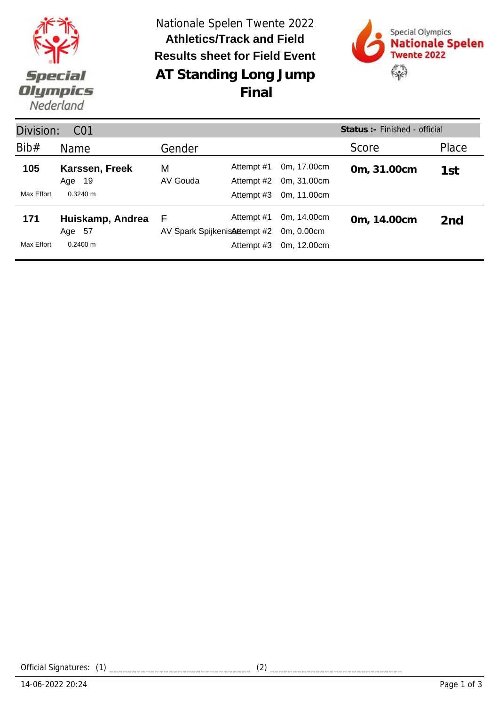

**AT Standing Long Jump** Nationale Spelen Twente 2022 **Results sheet for Field Event Athletics/Track and Field Final**



| Division:  | C <sub>01</sub>             | Status : - Finished - official                   |                          |                            |             |       |
|------------|-----------------------------|--------------------------------------------------|--------------------------|----------------------------|-------------|-------|
| Bib#       | Name                        | Gender                                           |                          |                            | Score       | Place |
| 105        | Karssen, Freek<br>19<br>Age | M<br>AV Gouda                                    | Attempt #1<br>Attempt #2 | 0m, 17.00cm<br>0m, 31.00cm | 0m, 31.00cm | 1st   |
| Max Effort | $0.3240 \text{ m}$          |                                                  | Attempt #3               | 0m, 11.00cm                |             |       |
| 171        | Huiskamp, Andrea<br>Age 57  | Attempt #1<br>F<br>AV Spark Spijkenis Attempt #2 |                          | 0m, 14.00cm<br>0m. 0.00cm  | 0m, 14.00cm | 2nd   |
| Max Effort | $0.2400 \text{ m}$          |                                                  | Attempt #3               | 0m, 12.00cm                |             |       |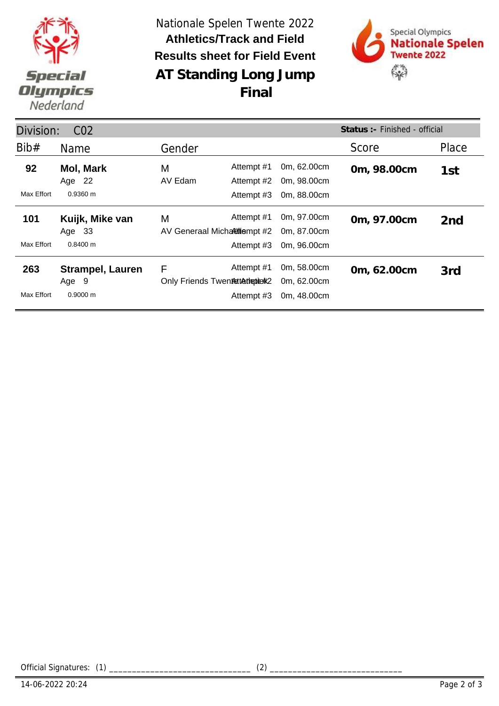

**AT Standing Long Jump** Nationale Spelen Twente 2022 **Results sheet for Field Event Athletics/Track and Field Final**



| Division:<br>CO <sub>2</sub> |                                              |                                       |                          |                                           | Status: - Finished - official |                 |
|------------------------------|----------------------------------------------|---------------------------------------|--------------------------|-------------------------------------------|-------------------------------|-----------------|
| Bib#                         | Name                                         | Gender                                |                          |                                           | Score                         | Place           |
| 92                           | Mol, Mark<br>Age 22                          | M<br>AV Edam                          | Attempt #1<br>Attempt #2 | 0m, 62.00cm<br>0m, 98.00cm                | 0m, 98.00cm                   | 1st             |
| Max Effort                   | $0.9360 \; m$                                |                                       | Attempt #3               | 0m, 88.00cm                               |                               |                 |
| 101                          | Kuijk, Mike van<br>Age 33                    | M<br>AV Generaal Micharitiempt #2     | Attempt #1               | 0m, 97.00cm<br>0m, 87.00cm                | 0m, 97.00cm                   | 2 <sub>nd</sub> |
| Max Effort                   | $0.8400 \; m$                                |                                       | Attempt #3               | 0m, 96.00cm                               |                               |                 |
| 263<br>Max Effort            | <b>Strampel, Lauren</b><br>Age 9<br>0.9000 m | F<br>Only Friends Twentsttathepiterk2 | Attempt #1<br>Attempt #3 | 0m, 58.00cm<br>0m, 62.00cm<br>0m, 48.00cm | 0m, 62.00cm                   | 3rd             |

Official Signatures: (1) \_\_\_\_\_\_\_\_\_\_\_\_\_\_\_\_\_\_\_\_\_\_\_\_\_\_\_\_\_\_\_ (2) \_\_\_\_\_\_\_\_\_\_\_\_\_\_\_\_\_\_\_\_\_\_\_\_\_\_\_\_\_